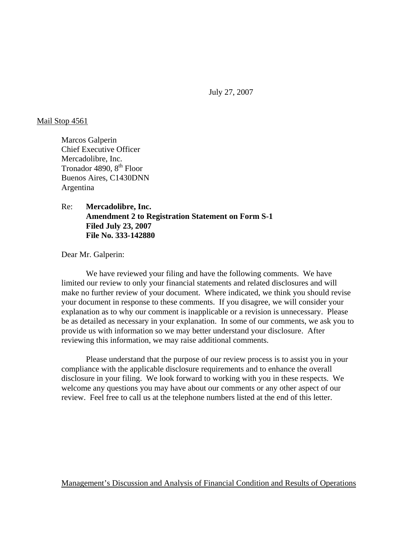July 27, 2007

## Mail Stop 4561

Marcos Galperin Chief Executive Officer Mercadolibre, Inc. Tronador 4890, 8<sup>th</sup> Floor Buenos Aires, C1430DNN Argentina

Re: **Mercadolibre, Inc. Amendment 2 to Registration Statement on Form S-1 Filed July 23, 2007 File No. 333-142880** 

Dear Mr. Galperin:

 We have reviewed your filing and have the following comments. We have limited our review to only your financial statements and related disclosures and will make no further review of your document. Where indicated, we think you should revise your document in response to these comments. If you disagree, we will consider your explanation as to why our comment is inapplicable or a revision is unnecessary. Please be as detailed as necessary in your explanation. In some of our comments, we ask you to provide us with information so we may better understand your disclosure. After reviewing this information, we may raise additional comments.

 Please understand that the purpose of our review process is to assist you in your compliance with the applicable disclosure requirements and to enhance the overall disclosure in your filing. We look forward to working with you in these respects. We welcome any questions you may have about our comments or any other aspect of our review. Feel free to call us at the telephone numbers listed at the end of this letter.

## Management's Discussion and Analysis of Financial Condition and Results of Operations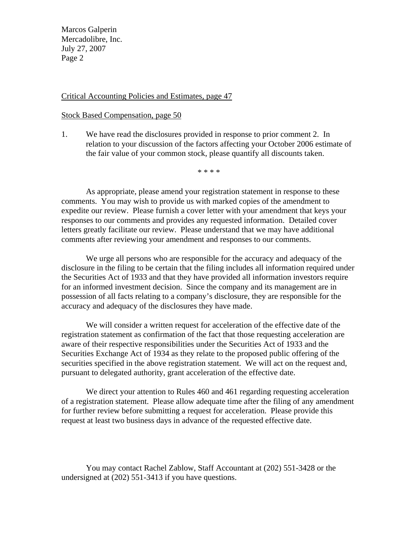Marcos Galperin Mercadolibre, Inc. July 27, 2007 Page 2

## Critical Accounting Policies and Estimates, page 47

## Stock Based Compensation, page 50

1. We have read the disclosures provided in response to prior comment 2. In relation to your discussion of the factors affecting your October 2006 estimate of the fair value of your common stock, please quantify all discounts taken.

\* \* \* \*

As appropriate, please amend your registration statement in response to these comments. You may wish to provide us with marked copies of the amendment to expedite our review. Please furnish a cover letter with your amendment that keys your responses to our comments and provides any requested information. Detailed cover letters greatly facilitate our review. Please understand that we may have additional comments after reviewing your amendment and responses to our comments.

We urge all persons who are responsible for the accuracy and adequacy of the disclosure in the filing to be certain that the filing includes all information required under the Securities Act of 1933 and that they have provided all information investors require for an informed investment decision. Since the company and its management are in possession of all facts relating to a company's disclosure, they are responsible for the accuracy and adequacy of the disclosures they have made.

We will consider a written request for acceleration of the effective date of the registration statement as confirmation of the fact that those requesting acceleration are aware of their respective responsibilities under the Securities Act of 1933 and the Securities Exchange Act of 1934 as they relate to the proposed public offering of the securities specified in the above registration statement. We will act on the request and, pursuant to delegated authority, grant acceleration of the effective date.

We direct your attention to Rules 460 and 461 regarding requesting acceleration of a registration statement. Please allow adequate time after the filing of any amendment for further review before submitting a request for acceleration. Please provide this request at least two business days in advance of the requested effective date.

You may contact Rachel Zablow, Staff Accountant at (202) 551-3428 or the undersigned at (202) 551-3413 if you have questions.